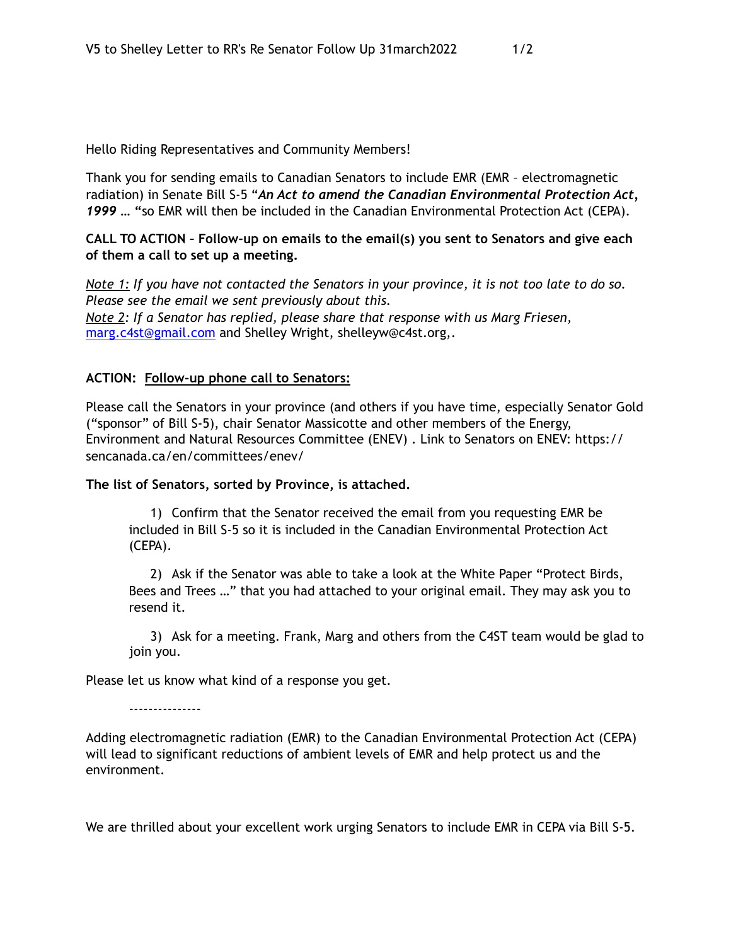Hello Riding Representatives and Community Members!

Thank you for sending emails to Canadian Senators to include EMR (EMR – electromagnetic radiation) in Senate Bill S-5 "*An Act to amend the Canadian Environmental Protection Act, 1999 …* **"**so EMR will then be included in the Canadian Environmental Protection Act (CEPA).

**CALL TO ACTION – Follow-up on emails to the email(s) you sent to Senators and give each of them a call to set up a meeting.** 

*Note 1: If you have not contacted the Senators in your province, it is not too late to do so. Please see the email we sent previously about this. Note 2: If a Senator has replied, please share that response with us Marg Friesen,*  [marg.c4st@gmail.com](mailto:marg.c4st@gmail.com) and Shelley Wright, shelleyw@c4st.org,.

## **ACTION: Follow-up phone call to Senators:**

Please call the Senators in your province (and others if you have time, especially Senator Gold ("sponsor" of Bill S-5), chair Senator Massicotte and other members of the Energy, Environment and Natural Resources Committee (ENEV) . Link to Senators on ENEV: https:// sencanada.ca/en/committees/enev/

## **The list of Senators, sorted by Province, is attached.**

1) Confirm that the Senator received the email from you requesting EMR be included in Bill S-5 so it is included in the Canadian Environmental Protection Act (CEPA).

2) Ask if the Senator was able to take a look at the White Paper "Protect Birds, Bees and Trees …" that you had attached to your original email. They may ask you to resend it.

3) Ask for a meeting. Frank, Marg and others from the C4ST team would be glad to join you.

Please let us know what kind of a response you get.

---------------

Adding electromagnetic radiation (EMR) to the Canadian Environmental Protection Act (CEPA) will lead to significant reductions of ambient levels of EMR and help protect us and the environment.

We are thrilled about your excellent work urging Senators to include EMR in CEPA via Bill S-5.